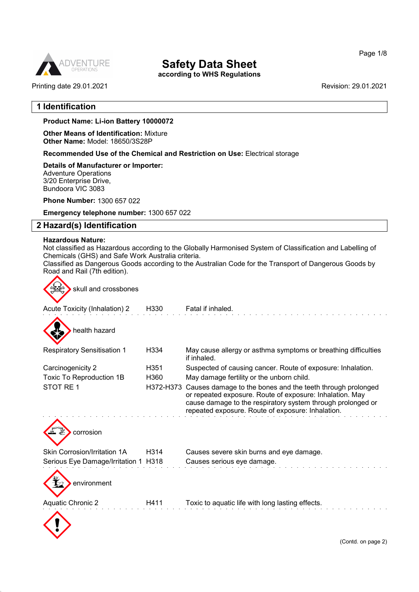

according to WHS Regulations

Printing date 29.01.2021 Revision: 29.01.2021

## 1 Identification

#### Product Name: Li-ion Battery **10000072**

Other Means of Identification: Mixture Other Name: Model: 18650/3S28P

Recommended Use of the Chemical and Restriction on Use: Electrical storage

Details of Manufacturer or Importer: Adventure Operations 3/20 Enterprise Drive, Bundoora VIC 3083

Phone Number: 1300 657 022

Emergency telephone number: 1300 657 022

## 2 Hazard(s) Identification

#### Hazardous Nature:

 $\curvearrowright$ 

52.0

Not classified as Hazardous according to the Globally Harmonised System of Classification and Labelling of Chemicals (GHS) and Safe Work Australia criteria.

Classified as Dangerous Goods according to the Australian Code for the Transport of Dangerous Goods by Road and Rail (7th edition).

| skull and crossbones                 |                   |                                                                                                                                                                                                                                            |
|--------------------------------------|-------------------|--------------------------------------------------------------------------------------------------------------------------------------------------------------------------------------------------------------------------------------------|
| Acute Toxicity (Inhalation) 2        | H330              | Fatal if inhaled.                                                                                                                                                                                                                          |
| health hazard                        |                   |                                                                                                                                                                                                                                            |
| <b>Respiratory Sensitisation 1</b>   | H334              | May cause allergy or asthma symptoms or breathing difficulties<br>if inhaled.                                                                                                                                                              |
| Carcinogenicity 2                    | H351              | Suspected of causing cancer. Route of exposure: Inhalation.                                                                                                                                                                                |
| Toxic To Reproduction 1B             | H360              | May damage fertility or the unborn child.                                                                                                                                                                                                  |
| STOT RE <sub>1</sub>                 | H372-H373         | Causes damage to the bones and the teeth through prolonged<br>or repeated exposure. Route of exposure: Inhalation. May<br>cause damage to the respiratory system through prolonged or<br>repeated exposure. Route of exposure: Inhalation. |
| corrosion                            |                   |                                                                                                                                                                                                                                            |
| <b>Skin Corrosion/Irritation 1A</b>  | H <sub>3</sub> 14 | Causes severe skin burns and eye damage.                                                                                                                                                                                                   |
| Serious Eye Damage/Irritation 1 H318 |                   | Causes serious eye damage.                                                                                                                                                                                                                 |
| environment                          |                   |                                                                                                                                                                                                                                            |
| <b>Aquatic Chronic 2</b>             | H411              | Toxic to aquatic life with long lasting effects.                                                                                                                                                                                           |
|                                      |                   |                                                                                                                                                                                                                                            |

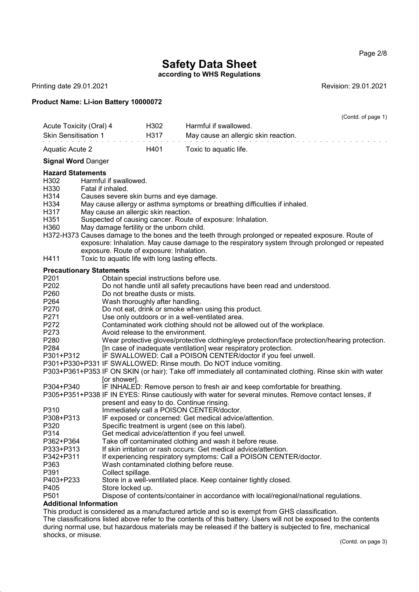Page 2/8

## Safety Data Sheet

according to WHS Regulations

Printing date 29.01.2021 **Revision: 29.01.2021** 

## Product Name: Li-ion Battery **10000072**

|                                                                                                                                                      |                                                                                                                                                                             |      | (Contd. of page 1)                                                                                                                                                                                                                                                                                                                                                                                                                                                                                                                                                                                                                                                                                                                |
|------------------------------------------------------------------------------------------------------------------------------------------------------|-----------------------------------------------------------------------------------------------------------------------------------------------------------------------------|------|-----------------------------------------------------------------------------------------------------------------------------------------------------------------------------------------------------------------------------------------------------------------------------------------------------------------------------------------------------------------------------------------------------------------------------------------------------------------------------------------------------------------------------------------------------------------------------------------------------------------------------------------------------------------------------------------------------------------------------------|
| Acute Toxicity (Oral) 4                                                                                                                              |                                                                                                                                                                             | H302 | Harmful if swallowed.                                                                                                                                                                                                                                                                                                                                                                                                                                                                                                                                                                                                                                                                                                             |
| <b>Skin Sensitisation 1</b>                                                                                                                          |                                                                                                                                                                             | H317 | May cause an allergic skin reaction.                                                                                                                                                                                                                                                                                                                                                                                                                                                                                                                                                                                                                                                                                              |
| <b>Aquatic Acute 2</b>                                                                                                                               |                                                                                                                                                                             | H401 | Toxic to aquatic life.                                                                                                                                                                                                                                                                                                                                                                                                                                                                                                                                                                                                                                                                                                            |
| <b>Signal Word Danger</b>                                                                                                                            |                                                                                                                                                                             |      |                                                                                                                                                                                                                                                                                                                                                                                                                                                                                                                                                                                                                                                                                                                                   |
|                                                                                                                                                      |                                                                                                                                                                             |      |                                                                                                                                                                                                                                                                                                                                                                                                                                                                                                                                                                                                                                                                                                                                   |
| <b>Hazard Statements</b><br>H302<br>H330<br>H314<br>H334<br>H317<br>H351<br>H360<br>H411                                                             | Harmful if swallowed.<br>Fatal if inhaled.<br>May cause an allergic skin reaction.<br>May damage fertility or the unborn child.<br>exposure. Route of exposure: Inhalation. |      | Causes severe skin burns and eye damage.<br>May cause allergy or asthma symptoms or breathing difficulties if inhaled.<br>Suspected of causing cancer. Route of exposure: Inhalation.<br>H372-H373 Causes damage to the bones and the teeth through prolonged or repeated exposure. Route of<br>exposure: Inhalation. May cause damage to the respiratory system through prolonged or repeated<br>Toxic to aquatic life with long lasting effects.                                                                                                                                                                                                                                                                                |
|                                                                                                                                                      |                                                                                                                                                                             |      |                                                                                                                                                                                                                                                                                                                                                                                                                                                                                                                                                                                                                                                                                                                                   |
| <b>Precautionary Statements</b><br>P <sub>201</sub><br>P202<br>P260<br>P <sub>264</sub><br>P270<br>P271<br>P272<br>P273<br>P280<br>P284<br>P301+P312 | Do not breathe dusts or mists.<br>Wash thoroughly after handling.<br>Avoid release to the environment.                                                                      |      | Obtain special instructions before use.<br>Do not handle until all safety precautions have been read and understood.<br>Do not eat, drink or smoke when using this product.<br>Use only outdoors or in a well-ventilated area.<br>Contaminated work clothing should not be allowed out of the workplace.<br>Wear protective gloves/protective clothing/eye protection/face protection/hearing protection.<br>[In case of inadequate ventilation] wear respiratory protection.<br>IF SWALLOWED: Call a POISON CENTER/doctor if you feel unwell.<br>P301+P330+P331 IF SWALLOWED: Rinse mouth. Do NOT induce vomiting.<br>P303+P361+P353 IF ON SKIN (or hair): Take off immediately all contaminated clothing. Rinse skin with water |
| P304+P340<br>P310<br>P308+P313                                                                                                                       | [or shower].                                                                                                                                                                |      | IF INHALED: Remove person to fresh air and keep comfortable for breathing.<br>P305+P351+P338 IF IN EYES: Rinse cautiously with water for several minutes. Remove contact lenses, if<br>present and easy to do. Continue rinsing.<br>Immediately call a POISON CENTER/doctor.<br>IF exposed or concerned: Get medical advice/attention.                                                                                                                                                                                                                                                                                                                                                                                            |
| P320<br>P314<br>P362+P364                                                                                                                            |                                                                                                                                                                             |      | Specific treatment is urgent (see on this label).<br>Get medical advice/attention if you feel unwell.<br>Take off contaminated clothing and wash it before reuse.                                                                                                                                                                                                                                                                                                                                                                                                                                                                                                                                                                 |
| P333+P313<br>P342+P311<br>P363                                                                                                                       |                                                                                                                                                                             |      | If skin irritation or rash occurs: Get medical advice/attention.<br>If experiencing respiratory symptoms: Call a POISON CENTER/doctor.<br>Wash contaminated clothing before reuse.                                                                                                                                                                                                                                                                                                                                                                                                                                                                                                                                                |
| P391                                                                                                                                                 | Collect spillage.                                                                                                                                                           |      |                                                                                                                                                                                                                                                                                                                                                                                                                                                                                                                                                                                                                                                                                                                                   |
| P403+P233                                                                                                                                            |                                                                                                                                                                             |      | Store in a well-ventilated place. Keep container tightly closed.                                                                                                                                                                                                                                                                                                                                                                                                                                                                                                                                                                                                                                                                  |
| P405                                                                                                                                                 | Store locked up.                                                                                                                                                            |      |                                                                                                                                                                                                                                                                                                                                                                                                                                                                                                                                                                                                                                                                                                                                   |
| P501                                                                                                                                                 |                                                                                                                                                                             |      | Dispose of contents/container in accordance with local/regional/national regulations.                                                                                                                                                                                                                                                                                                                                                                                                                                                                                                                                                                                                                                             |
| <b>Additional Information</b>                                                                                                                        |                                                                                                                                                                             |      |                                                                                                                                                                                                                                                                                                                                                                                                                                                                                                                                                                                                                                                                                                                                   |

This product is considered as a manufactured article and so is exempt from GHS classification. The classifications listed above refer to the contents of this battery. Users will not be exposed to the contents during normal use, but hazardous materials may be released if the battery is subjected to fire, mechanical shocks, or misuse.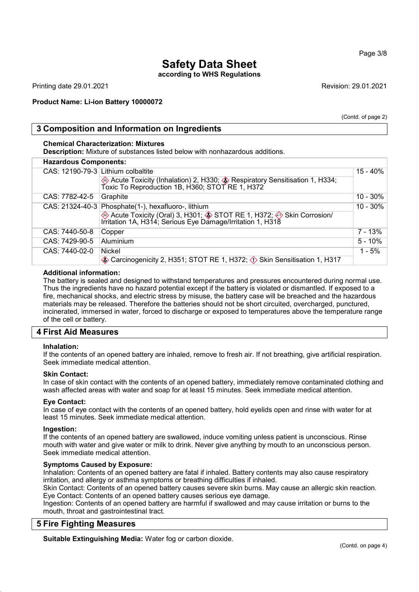#### Page 3/8

## Safety Data Sheet

according to WHS Regulations

Printing date 29.01.2021 Revision: 29.01.2021

## Product Name: Li-ion Battery **10000072**

(Contd. of page 2)

## 3 Composition and Information on Ingredients

### Chemical Characterization: Mixtures

Description: Mixture of substances listed below with nonhazardous additions.

| <b>Hazardous Components:</b> |                                                                                                                                     |             |
|------------------------------|-------------------------------------------------------------------------------------------------------------------------------------|-------------|
|                              | CAS: 12190-79-3 Lithium colbaltite                                                                                                  | 15 - 40%    |
|                              | Acute Toxicity (Inhalation) 2, H330; <b>A</b> Respiratory Sensitisation 1, H334;<br>Toxic To Reproduction 1B, H360; STOT RE 1, H372 |             |
| CAS: 7782-42-5               | Graphite                                                                                                                            | $10 - 30\%$ |
| $CAS: 21324-40-3$            | Phosphate(1-), hexafluoro-, lithium                                                                                                 | $10 - 30\%$ |
|                              | ◈ Acute Toxicity (Oral) 3, H301; ♦ STOT RE 1, H372; ♦ Skin Corrosion/<br>Irritation 1A, H314; Serious Eye Damage/Irritation 1, H318 |             |
| CAS: 7440-50-8               | Copper                                                                                                                              | 7 - 13%     |
| CAS: 7429-90-5               | Aluminium                                                                                                                           | $5 - 10%$   |
| CAS: 7440-02-0               | <b>Nickel</b>                                                                                                                       | $1 - 5%$    |
|                              | Carcinogenicity 2, H351; STOT RE 1, H372; $\Diamond$ Skin Sensitisation 1, H317                                                     |             |

## Additional information:

The battery is sealed and designed to withstand temperatures and pressures encountered during normal use. Thus the ingredients have no hazard potential except if the battery is violated or dismantled. If exposed to a fire, mechanical shocks, and electric stress by misuse, the battery case will be breached and the hazardous materials may be released. Therefore the batteries should not be short circuited, overcharged, punctured, incinerated, immersed in water, forced to discharge or exposed to temperatures above the temperature range of the cell or battery.

## 4 First Aid Measures

#### Inhalation:

If the contents of an opened battery are inhaled, remove to fresh air. If not breathing, give artificial respiration. Seek immediate medical attention.

#### Skin Contact:

In case of skin contact with the contents of an opened battery, immediately remove contaminated clothing and wash affected areas with water and soap for at least 15 minutes. Seek immediate medical attention.

#### Eye Contact:

In case of eye contact with the contents of an opened battery, hold eyelids open and rinse with water for at least 15 minutes. Seek immediate medical attention.

#### Ingestion:

If the contents of an opened battery are swallowed, induce vomiting unless patient is unconscious. Rinse mouth with water and give water or milk to drink. Never give anything by mouth to an unconscious person. Seek immediate medical attention.

#### Symptoms Caused by Exposure:

Inhalation: Contents of an opened battery are fatal if inhaled. Battery contents may also cause respiratory irritation, and allergy or asthma symptoms or breathing difficulties if inhaled.

Skin Contact: Contents of an opened battery causes severe skin burns. May cause an allergic skin reaction. Eye Contact: Contents of an opened battery causes serious eye damage.

Ingestion: Contents of an opened battery are harmful if swallowed and may cause irritation or burns to the mouth, throat and gastrointestinal tract.

## 5 Fire Fighting Measures

Suitable Extinguishing Media: Water fog or carbon dioxide.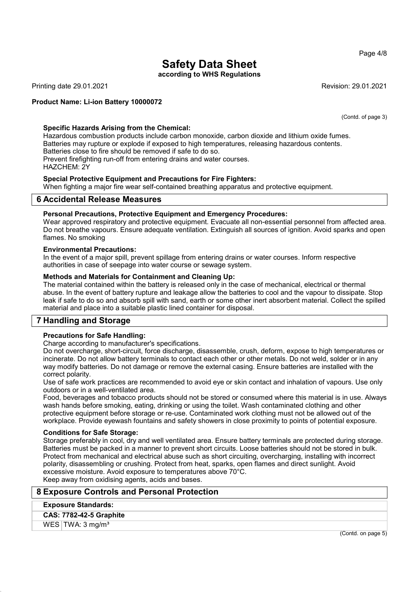Page 4/8

## Safety Data Sheet

according to WHS Regulations

Printing date 29.01.2021 Revision: 29.01.2021

## Product Name: Li-ion Battery **10000072**

(Contd. of page 3)

## Specific Hazards Arising from the Chemical:

Hazardous combustion products include carbon monoxide, carbon dioxide and lithium oxide fumes. Batteries may rupture or explode if exposed to high temperatures, releasing hazardous contents. Batteries close to fire should be removed if safe to do so. Prevent firefighting run-off from entering drains and water courses. HAZCHEM: 2Y

## Special Protective Equipment and Precautions for Fire Fighters:

When fighting a major fire wear self-contained breathing apparatus and protective equipment.

## 6 Accidental Release Measures

#### Personal Precautions, Protective Equipment and Emergency Procedures:

Wear approved respiratory and protective equipment. Evacuate all non-essential personnel from affected area. Do not breathe vapours. Ensure adequate ventilation. Extinguish all sources of ignition. Avoid sparks and open flames. No smoking

#### Environmental Precautions:

In the event of a major spill, prevent spillage from entering drains or water courses. Inform respective authorities in case of seepage into water course or sewage system.

#### Methods and Materials for Containment and Cleaning Up:

The material contained within the battery is released only in the case of mechanical, electrical or thermal abuse. In the event of battery rupture and leakage allow the batteries to cool and the vapour to dissipate. Stop leak if safe to do so and absorb spill with sand, earth or some other inert absorbent material. Collect the spilled material and place into a suitable plastic lined container for disposal.

## 7 Handling and Storage

## Precautions for Safe Handling:

Charge according to manufacturer's specifications.

Do not overcharge, short-circuit, force discharge, disassemble, crush, deform, expose to high temperatures or incinerate. Do not allow battery terminals to contact each other or other metals. Do not weld, solder or in any way modify batteries. Do not damage or remove the external casing. Ensure batteries are installed with the correct polarity.

Use of safe work practices are recommended to avoid eye or skin contact and inhalation of vapours. Use only outdoors or in a well-ventilated area.

Food, beverages and tobacco products should not be stored or consumed where this material is in use. Always wash hands before smoking, eating, drinking or using the toilet. Wash contaminated clothing and other protective equipment before storage or re-use. Contaminated work clothing must not be allowed out of the workplace. Provide eyewash fountains and safety showers in close proximity to points of potential exposure.

#### Conditions for Safe Storage:

Storage preferably in cool, dry and well ventilated area. Ensure battery terminals are protected during storage. Batteries must be packed in a manner to prevent short circuits. Loose batteries should not be stored in bulk. Protect from mechanical and electrical abuse such as short circuiting, overcharging, installing with incorrect polarity, disassembling or crushing. Protect from heat, sparks, open flames and direct sunlight. Avoid excessive moisture. Avoid exposure to temperatures above 70°C. Keep away from oxidising agents, acids and bases.

## 8 Exposure Controls and Personal Protection

#### Exposure Standards:

CAS: 7782-42-5 Graphite

### WES  $TWA: 3 mg/m<sup>3</sup>$

(Contd. on page 5)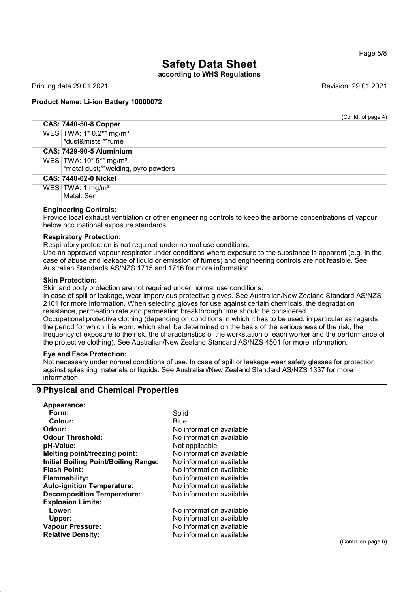according to WHS Regulations

Printing date 29.01.2021 Revision: 29.01.2021

## Product Name: Li-ion Battery **10000072**

(Contd. of page 4)

| <b>CAS: 7440-50-8 Copper</b>                                                |  |
|-----------------------------------------------------------------------------|--|
| WES   TWA: 1* 0.2** mg/m <sup>3</sup><br>*dust&mists **fume                 |  |
| <b>CAS: 7429-90-5 Aluminium</b>                                             |  |
| WES   TWA: 10* 5** mg/m <sup>3</sup><br>*metal dust;**welding, pyro powders |  |
| <b>CAS: 7440-02-0 Nickel</b>                                                |  |
| WES $\text{TWA: } 1 \text{ mg/m}^3$<br>Metal: Sen                           |  |

## Engineering Controls:

Provide local exhaust ventilation or other engineering controls to keep the airborne concentrations of vapour below occupational exposure standards.

#### Respiratory Protection:

Respiratory protection is not required under normal use conditions.

Use an approved vapour respirator under conditions where exposure to the substance is apparent (e.g. In the case of abuse and leakage of liquid or emission of fumes) and engineering controls are not feasible. See Australian Standards AS/NZS 1715 and 1716 for more information.

#### Skin Protection:

Skin and body protection are not required under normal use conditions.

In case of spill or leakage, wear impervious protective gloves. See Australian/New Zealand Standard AS/NZS 2161 for more information. When selecting gloves for use against certain chemicals, the degradation resistance, permeation rate and permeation breakthrough time should be considered.

Occupational protective clothing (depending on conditions in which it has to be used, in particular as regards the period for which it is worn, which shall be determined on the basis of the seriousness of the risk, the frequency of exposure to the risk, the characteristics of the workstation of each worker and the performance of the protective clothing). See Australian/New Zealand Standard AS/NZS 4501 for more information.

#### Eye and Face Protection:

Not necessary under normal conditions of use. In case of spill or leakage wear safety glasses for protection against splashing materials or liquids. See Australian/New Zealand Standard AS/NZS 1337 for more information.

## 9 Physical and Chemical Properties

| Solid<br>Form:<br>Colour:<br>Blue<br>No information available<br>Odour:<br><b>Odour Threshold:</b><br>No information available<br>pH-Value:<br>Not applicable.<br><b>Melting point/freezing point:</b><br>No information available<br><b>Initial Boiling Point/Boiling Range:</b><br>No information available |
|---------------------------------------------------------------------------------------------------------------------------------------------------------------------------------------------------------------------------------------------------------------------------------------------------------------|
|                                                                                                                                                                                                                                                                                                               |
|                                                                                                                                                                                                                                                                                                               |
|                                                                                                                                                                                                                                                                                                               |
|                                                                                                                                                                                                                                                                                                               |
|                                                                                                                                                                                                                                                                                                               |
|                                                                                                                                                                                                                                                                                                               |
|                                                                                                                                                                                                                                                                                                               |
| <b>Flash Point:</b><br>No information available                                                                                                                                                                                                                                                               |
| Flammability:<br>No information available                                                                                                                                                                                                                                                                     |
| <b>Auto-ignition Temperature:</b><br>No information available                                                                                                                                                                                                                                                 |
| No information available<br><b>Decomposition Temperature:</b>                                                                                                                                                                                                                                                 |
| <b>Explosion Limits:</b>                                                                                                                                                                                                                                                                                      |
| No information available<br>Lower:                                                                                                                                                                                                                                                                            |
| No information available<br>Upper:                                                                                                                                                                                                                                                                            |
| <b>Vapour Pressure:</b><br>No information available                                                                                                                                                                                                                                                           |
| No information available<br><b>Relative Density:</b>                                                                                                                                                                                                                                                          |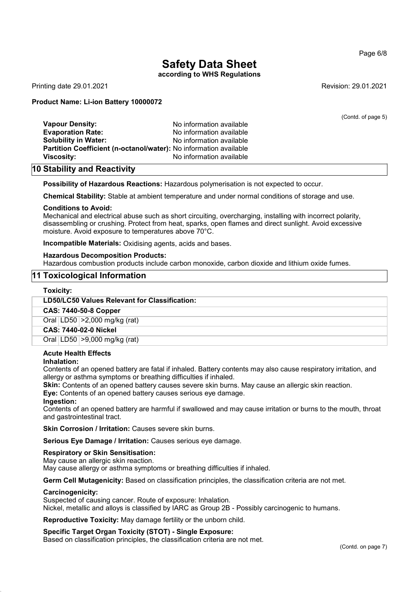## according to WHS Regulations

Printing date 29.01.2021 Revision: 29.01.2021

Page 6/8

#### Product Name: Li-ion Battery **10000072**

|                                                                   |                          | (Contd. of page 5) |
|-------------------------------------------------------------------|--------------------------|--------------------|
| <b>Vapour Density:</b>                                            | No information available |                    |
| <b>Evaporation Rate:</b>                                          | No information available |                    |
| <b>Solubility in Water:</b>                                       | No information available |                    |
| Partition Coefficient (n-octanol/water): No information available |                          |                    |
| <b>Viscosity:</b>                                                 | No information available |                    |
|                                                                   |                          |                    |

## 10 Stability and Reactivity

Possibility of Hazardous Reactions: Hazardous polymerisation is not expected to occur.

Chemical Stability: Stable at ambient temperature and under normal conditions of storage and use.

#### Conditions to Avoid:

Mechanical and electrical abuse such as short circuiting, overcharging, installing with incorrect polarity, disassembling or crushing. Protect from heat, sparks, open flames and direct sunlight. Avoid excessive moisture. Avoid exposure to temperatures above 70°C.

Incompatible Materials: Oxidising agents, acids and bases.

#### Hazardous Decomposition Products:

Hazardous combustion products include carbon monoxide, carbon dioxide and lithium oxide fumes.

## 11 Toxicological Information

#### Toxicity:

#### LD50/LC50 Values Relevant for Classification:

CAS: 7440-50-8 Copper

Oral LD50 >2,000 mg/kg (rat)

CAS: 7440-02-0 Nickel

Oral LD50 >9,000 mg/kg (rat)

#### Acute Health Effects

#### Inhalation:

Contents of an opened battery are fatal if inhaled. Battery contents may also cause respiratory irritation, and allergy or asthma symptoms or breathing difficulties if inhaled.

Skin: Contents of an opened battery causes severe skin burns. May cause an allergic skin reaction.

Eye: Contents of an opened battery causes serious eye damage.

#### Ingestion:

Contents of an opened battery are harmful if swallowed and may cause irritation or burns to the mouth, throat and gastrointestinal tract.

Skin Corrosion / Irritation: Causes severe skin burns.

Serious Eye Damage / Irritation: Causes serious eye damage.

#### Respiratory or Skin Sensitisation:

May cause an allergic skin reaction.

May cause allergy or asthma symptoms or breathing difficulties if inhaled.

Germ Cell Mutagenicity: Based on classification principles, the classification criteria are not met.

#### Carcinogenicity:

Suspected of causing cancer. Route of exposure: Inhalation. Nickel, metallic and alloys is classified by IARC as Group 2B - Possibly carcinogenic to humans.

Reproductive Toxicity: May damage fertility or the unborn child.

#### Specific Target Organ Toxicity (STOT) - Single Exposure:

Based on classification principles, the classification criteria are not met.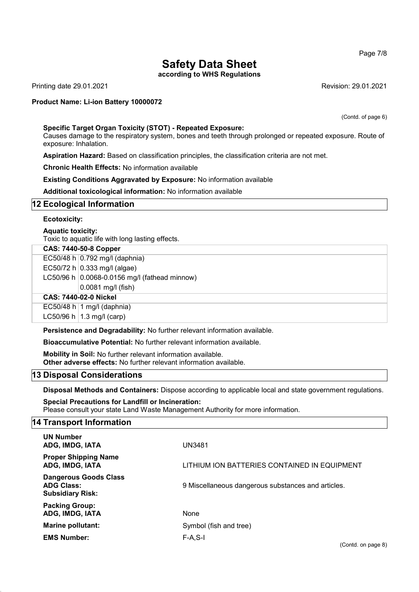Page 7/8

## Safety Data Sheet

according to WHS Regulations

Printing date 29.01.2021 Revision: 29.01.2021

## Product Name: Li-ion Battery **10000072**

(Contd. of page 6)

#### Specific Target Organ Toxicity (STOT) - Repeated Exposure:

Causes damage to the respiratory system, bones and teeth through prolonged or repeated exposure. Route of exposure: Inhalation.

Aspiration Hazard: Based on classification principles, the classification criteria are not met.

Chronic Health Effects: No information available

Existing Conditions Aggravated by Exposure: No information available

Additional toxicological information: No information available

## 12 Ecological Information

#### Ecotoxicity:

#### Aquatic toxicity:

Toxic to aquatic life with long lasting effects.

### CAS: 7440-50-8 Copper

|  | $0.0081$ mg/l (fish)                          |
|--|-----------------------------------------------|
|  | LC50/96 h 0.0068-0.0156 mg/l (fathead minnow) |
|  | EC50/72 h $ 0.333 \text{ mg/l}$ (algae)       |
|  | EC50/48 h $ 0.792 \text{ mg/l}$ (daphnia)     |
|  |                                               |

## CAS: 7440-02-0 Nickel

EC50/48 h  $\vert$  1 mg/l (daphnia) LC50/96 h  $|1.3 \text{ mg/}1 \text{ (carp)}$ 

Persistence and Degradability: No further relevant information available.

Bioaccumulative Potential: No further relevant information available.

Mobility in Soil: No further relevant information available. Other adverse effects: No further relevant information available.

## 13 Disposal Considerations

Disposal Methods and Containers: Dispose according to applicable local and state government regulations.

Special Precautions for Landfill or Incineration: Please consult your state Land Waste Management Authority for more information.

#### 14 Transport Information

| <b>UN Number</b><br>ADG, IMDG, IATA                                          | UN3481                                             |
|------------------------------------------------------------------------------|----------------------------------------------------|
| <b>Proper Shipping Name</b><br>ADG, IMDG, IATA                               | LITHIUM ION BATTERIES CONTAINED IN EQUIPMENT       |
| <b>Dangerous Goods Class</b><br><b>ADG Class:</b><br><b>Subsidiary Risk:</b> | 9 Miscellaneous dangerous substances and articles. |
| <b>Packing Group:</b><br>ADG, IMDG, IATA                                     | None                                               |
| <b>Marine pollutant:</b>                                                     | Symbol (fish and tree)                             |
| <b>EMS Number:</b>                                                           | $F-A.S-I$                                          |

(Contd. on page 8)